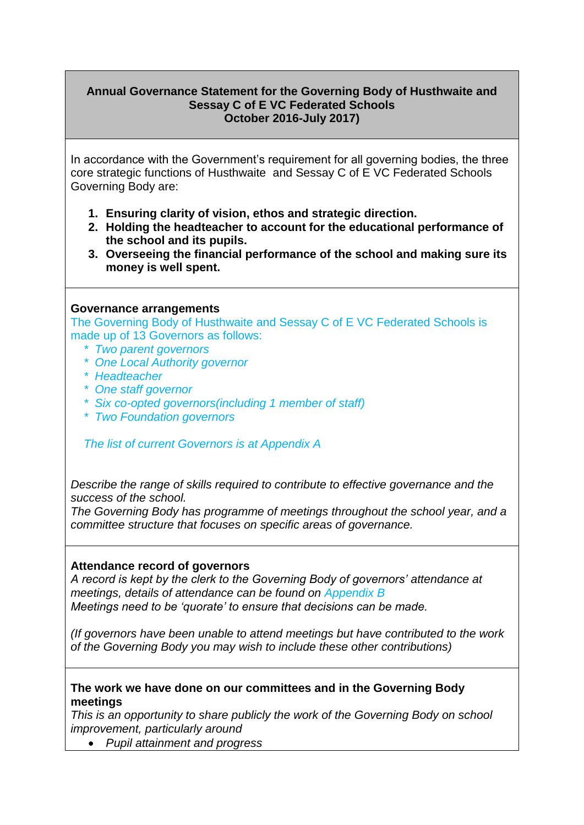## **Annual Governance Statement for the Governing Body of Husthwaite and Sessay C of E VC Federated Schools October 2016-July 2017)**

In accordance with the Government's requirement for all governing bodies, the three core strategic functions of Husthwaite and Sessay C of E VC Federated Schools Governing Body are:

- **1. Ensuring clarity of vision, ethos and strategic direction.**
- **2. Holding the headteacher to account for the educational performance of the school and its pupils.**
- **3. Overseeing the financial performance of the school and making sure its money is well spent.**

#### **Governance arrangements**

The Governing Body of Husthwaite and Sessay C of E VC Federated Schools is made up of 13 Governors as follows:

- *\* Two parent governors*
- *\* One Local Authority governor*
- *\* Headteacher*
- *\* One staff governor*
- *\* Six co-opted governors(including 1 member of staff)*
- *\* Two Foundation governors*

## *The list of current Governors is at Appendix A*

*Describe the range of skills required to contribute to effective governance and the success of the school.*

*The Governing Body has programme of meetings throughout the school year, and a committee structure that focuses on specific areas of governance.*

## **Attendance record of governors**

*A record is kept by the clerk to the Governing Body of governors' attendance at meetings, details of attendance can be found on Appendix B Meetings need to be 'quorate' to ensure that decisions can be made.*

*(If governors have been unable to attend meetings but have contributed to the work of the Governing Body you may wish to include these other contributions)* 

## **The work we have done on our committees and in the Governing Body meetings**

*This is an opportunity to share publicly the work of the Governing Body on school improvement, particularly around* 

*Pupil attainment and progress*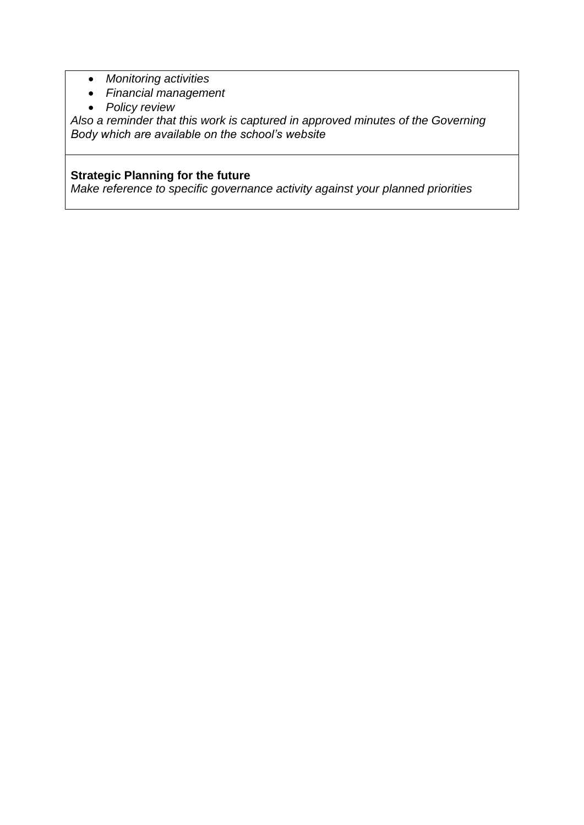- *Monitoring activities*
- *Financial management*
- *Policy review*

*Also a reminder that this work is captured in approved minutes of the Governing Body which are available on the school's website*

# **Strategic Planning for the future**

*Make reference to specific governance activity against your planned priorities*